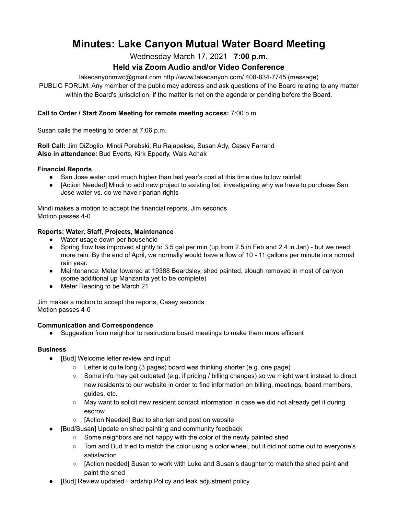# **Minutes: Lake Canyon Mutual Water Board Meeting**

Wednesday March 17, 2021 **7:00 p.m.**

# **Held via Zoom Audio and/or Video Conference**

lakecanyonmwc@gmail.com http://www.lakecanyon.com/ 408-834-7745 (message)

PUBLIC FORUM: Any member of the public may address and ask questions of the Board relating to any matter within the Board's jurisdiction, if the matter is not on the agenda or pending before the Board.

# **Call to Order / Start Zoom Meeting for remote meeting access:** 7:00 p.m.

Susan calls the meeting to order at 7:06 p.m.

**Roll Call:** Jim DiZoglio, Mindi Porebski, Ru Rajapakse, Susan Ady, Casey Farrand **Also in attendance:** Bud Everts, Kirk Epperly, Wais Achak

#### **Financial Reports**

- San Jose water cost much higher than last year's cost at this time due to low rainfall
- [Action Needed] Mindi to add new project to existing list: investigating why we have to purchase San Jose water vs. do we have riparian rights

Mindi makes a motion to accept the financial reports, Jim seconds Motion passes 4-0

#### **Reports: Water, Staff, Projects, Maintenance**

- Water usage down per household
- Spring flow has improved slightly to 3.5 gal per min (up from 2.5 in Feb and 2.4 in Jan) but we need more rain. By the end of April, we normally would have a flow of 10 - 11 gallons per minute in a normal rain year.
- Maintenance: Meter lowered at 19388 Beardsley, shed painted, slough removed in most of canyon (some additional up Manzanita yet to be complete)
- Meter Reading to be March 21

Jim makes a motion to accept the reports, Casey seconds Motion passes 4-0

#### **Communication and Correspondence**

● Suggestion from neighbor to restructure board meetings to make them more efficient

#### **Business**

- [Bud] Welcome letter review and input
	- Letter is quite long (3 pages) board was thinking shorter (e.g. one page)
	- Some info may get outdated (e.g. if pricing / billing changes) so we might want instead to direct new residents to our website in order to find information on billing, meetings, board members, guides, etc.
	- May want to solicit new resident contact information in case we did not already get it during escrow
	- [Action Needed] Bud to shorten and post on website
- [Bud/Susan] Update on shed painting and community feedback
	- Some neighbors are not happy with the color of the newly painted shed
	- Tom and Bud tried to match the color using a color wheel, but it did not come out to everyone's satisfaction
	- [Action needed] Susan to work with Luke and Susan's daughter to match the shed paint and paint the shed
- [Bud] Review updated Hardship Policy and leak adjustment policy